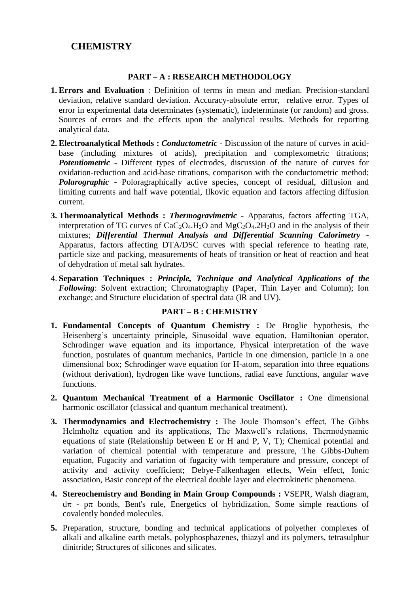## **CHEMISTRY**

## **PART – A : RESEARCH METHODOLOGY**

- **1. Errors and Evaluation** : Definition of terms in mean and median. Precision-standard deviation, relative standard deviation. Accuracy-absolute error, relative error. Types of error in experimental data determinates (systematic), indeterminate (or random) and gross. Sources of errors and the effects upon the analytical results. Methods for reporting analytical data.
- **2. Electroanalytical Methods :** *Conductometric* Discussion of the nature of curves in acidbase (including mixtures of acids), precipitation and complexometric titrations; *Potentiometric* - Different types of electrodes, discussion of the nature of curves for oxidation-reduction and acid-base titrations, comparison with the conductometric method; *Polarographic* - Poloragraphically active species, concept of residual, diffusion and limiting currents and half wave potential, Ilkovic equation and factors affecting diffusion current.
- **3. Thermoanalytical Methods :** *Thermogravimetric* Apparatus, factors affecting TGA, interpretation of TG curves of  $CaC<sub>2</sub>O<sub>4</sub>$ .H<sub>2</sub>O and MgC<sub>2</sub>O<sub>4</sub>.2H<sub>2</sub>O and in the analysis of their mixtures; *Differential Thermal Analysis and Differential Scanning Calorimetry* - Apparatus, factors affecting DTA/DSC curves with special reference to heating rate, particle size and packing, measurements of heats of transition or heat of reaction and heat of dehydration of metal salt hydrates.
- 4. **Separation Techniques :** *Principle, Technique and Analytical Applications of the Following*: Solvent extraction; Chromatography (Paper, Thin Layer and Column); Ion exchange; and Structure elucidation of spectral data (IR and UV).

## **PART – B : CHEMISTRY**

- **1. Fundamental Concepts of Quantum Chemistry :** De Broglie hypothesis, the Heisenberg's uncertainty principle, Sinusoidal wave equation, Hamiltonian operator, Schrodinger wave equation and its importance, Physical interpretation of the wave function, postulates of quantum mechanics, Particle in one dimension, particle in a one dimensional box; Schrodinger wave equation for H-atom, separation into three equations (without derivation), hydrogen like wave functions, radial eave functions, angular wave functions.
- **2. Quantum Mechanical Treatment of a Harmonic Oscillator :** One dimensional harmonic oscillator (classical and quantum mechanical treatment).
- **3. Thermodynamics and Electrochemistry :** The Joule Thomson's effect, The Gibbs Helmholtz equation and its applications, The Maxwell's relations, Thermodynamic equations of state (Relationship between E or H and P, V, T); Chemical potential and variation of chemical potential with temperature and pressure, The Gibbs-Duhem equation, Fugacity and variation of fugacity with temperature and pressure, concept of activity and activity coefficient; Debye-Falkenhagen effects, Wein effect, Ionic association, Basic concept of the electrical double layer and electrokinetic phenomena.
- **4. Stereochemistry and Bonding in Main Group Compounds :** VSEPR, Walsh diagram,  $d\pi$  -  $p\pi$  bonds, Bent's rule, Energetics of hybridization, Some simple reactions of covalently bonded molecules.
- **5.** Preparation, structure, bonding and technical applications of polyether complexes of alkali and alkaline earth metals, polyphosphazenes, thiazyl and its polymers, tetrasulphur dinitride; Structures of silicones and silicates.